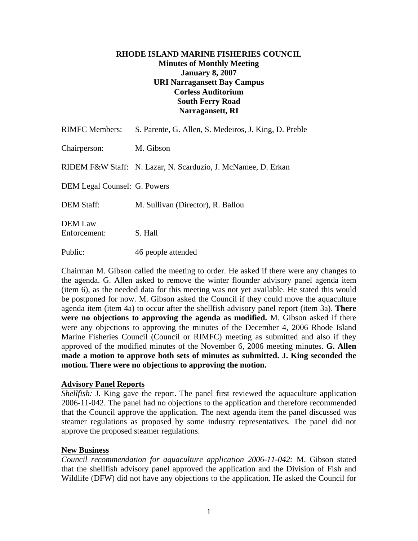# **RHODE ISLAND MARINE FISHERIES COUNCIL Minutes of Monthly Meeting January 8, 2007 URI Narragansett Bay Campus Corless Auditorium South Ferry Road Narragansett, RI**

| <b>RIMFC Members:</b>          | S. Parente, G. Allen, S. Medeiros, J. King, D. Preble         |
|--------------------------------|---------------------------------------------------------------|
| Chairperson:                   | M. Gibson                                                     |
|                                | RIDEM F&W Staff: N. Lazar, N. Scarduzio, J. McNamee, D. Erkan |
| DEM Legal Counsel: G. Powers   |                                                               |
| <b>DEM Staff:</b>              | M. Sullivan (Director), R. Ballou                             |
| <b>DEM</b> Law<br>Enforcement: | S. Hall                                                       |
| Public:                        | 46 people attended                                            |

Chairman M. Gibson called the meeting to order. He asked if there were any changes to the agenda. G. Allen asked to remove the winter flounder advisory panel agenda item (item 6), as the needed data for this meeting was not yet available. He stated this would be postponed for now. M. Gibson asked the Council if they could move the aquaculture agenda item (item 4a) to occur after the shellfish advisory panel report (item 3a). **There were no objections to approving the agenda as modified.** M. Gibson asked if there were any objections to approving the minutes of the December 4, 2006 Rhode Island Marine Fisheries Council (Council or RIMFC) meeting as submitted and also if they approved of the modified minutes of the November 6, 2006 meeting minutes. **G. Allen made a motion to approve both sets of minutes as submitted. J. King seconded the motion. There were no objections to approving the motion.** 

## **Advisory Panel Reports**

*Shellfish:* J. King gave the report. The panel first reviewed the aquaculture application 2006-11-042. The panel had no objections to the application and therefore recommended that the Council approve the application. The next agenda item the panel discussed was steamer regulations as proposed by some industry representatives. The panel did not approve the proposed steamer regulations.

## **New Business**

*Council recommendation for aquaculture application 2006-11-042:* M. Gibson stated that the shellfish advisory panel approved the application and the Division of Fish and Wildlife (DFW) did not have any objections to the application. He asked the Council for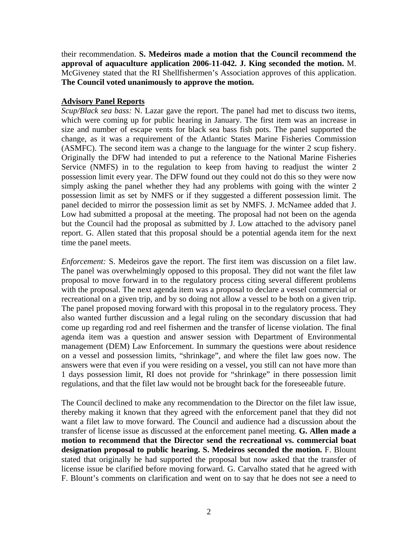their recommendation. **S. Medeiros made a motion that the Council recommend the approval of aquaculture application 2006-11-042. J. King seconded the motion.** M. McGiveney stated that the RI Shellfishermen's Association approves of this application. **The Council voted unanimously to approve the motion.** 

## **Advisory Panel Reports**

*Scup/Black sea bass:* N. Lazar gave the report. The panel had met to discuss two items, which were coming up for public hearing in January. The first item was an increase in size and number of escape vents for black sea bass fish pots. The panel supported the change, as it was a requirement of the Atlantic States Marine Fisheries Commission (ASMFC). The second item was a change to the language for the winter 2 scup fishery. Originally the DFW had intended to put a reference to the National Marine Fisheries Service (NMFS) in to the regulation to keep from having to readjust the winter 2 possession limit every year. The DFW found out they could not do this so they were now simply asking the panel whether they had any problems with going with the winter 2 possession limit as set by NMFS or if they suggested a different possession limit. The panel decided to mirror the possession limit as set by NMFS. J. McNamee added that J. Low had submitted a proposal at the meeting. The proposal had not been on the agenda but the Council had the proposal as submitted by J. Low attached to the advisory panel report. G. Allen stated that this proposal should be a potential agenda item for the next time the panel meets.

*Enforcement:* S. Medeiros gave the report. The first item was discussion on a filet law. The panel was overwhelmingly opposed to this proposal. They did not want the filet law proposal to move forward in to the regulatory process citing several different problems with the proposal. The next agenda item was a proposal to declare a vessel commercial or recreational on a given trip, and by so doing not allow a vessel to be both on a given trip. The panel proposed moving forward with this proposal in to the regulatory process. They also wanted further discussion and a legal ruling on the secondary discussion that had come up regarding rod and reel fishermen and the transfer of license violation. The final agenda item was a question and answer session with Department of Environmental management (DEM) Law Enforcement. In summary the questions were about residence on a vessel and possession limits, "shrinkage", and where the filet law goes now. The answers were that even if you were residing on a vessel, you still can not have more than 1 days possession limit, RI does not provide for "shrinkage" in there possession limit regulations, and that the filet law would not be brought back for the foreseeable future.

The Council declined to make any recommendation to the Director on the filet law issue, thereby making it known that they agreed with the enforcement panel that they did not want a filet law to move forward. The Council and audience had a discussion about the transfer of license issue as discussed at the enforcement panel meeting. **G. Allen made a motion to recommend that the Director send the recreational vs. commercial boat designation proposal to public hearing. S. Medeiros seconded the motion.** F. Blount stated that originally he had supported the proposal but now asked that the transfer of license issue be clarified before moving forward. G. Carvalho stated that he agreed with F. Blount's comments on clarification and went on to say that he does not see a need to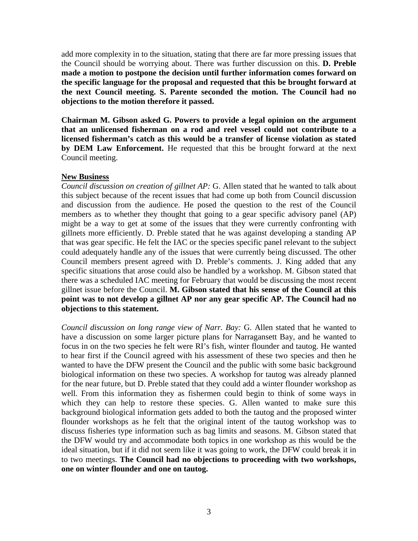add more complexity in to the situation, stating that there are far more pressing issues that the Council should be worrying about. There was further discussion on this. **D. Preble made a motion to postpone the decision until further information comes forward on the specific language for the proposal and requested that this be brought forward at the next Council meeting. S. Parente seconded the motion. The Council had no objections to the motion therefore it passed.** 

**Chairman M. Gibson asked G. Powers to provide a legal opinion on the argument that an unlicensed fisherman on a rod and reel vessel could not contribute to a licensed fisherman's catch as this would be a transfer of license violation as stated by DEM Law Enforcement.** He requested that this be brought forward at the next Council meeting.

# **New Business**

*Council discussion on creation of gillnet AP:* G. Allen stated that he wanted to talk about this subject because of the recent issues that had come up both from Council discussion and discussion from the audience. He posed the question to the rest of the Council members as to whether they thought that going to a gear specific advisory panel (AP) might be a way to get at some of the issues that they were currently confronting with gillnets more efficiently. D. Preble stated that he was against developing a standing AP that was gear specific. He felt the IAC or the species specific panel relevant to the subject could adequately handle any of the issues that were currently being discussed. The other Council members present agreed with D. Preble's comments. J. King added that any specific situations that arose could also be handled by a workshop. M. Gibson stated that there was a scheduled IAC meeting for February that would be discussing the most recent gillnet issue before the Council. **M. Gibson stated that his sense of the Council at this point was to not develop a gillnet AP nor any gear specific AP. The Council had no objections to this statement.**

*Council discussion on long range view of Narr. Bay:* G. Allen stated that he wanted to have a discussion on some larger picture plans for Narragansett Bay, and he wanted to focus in on the two species he felt were RI's fish, winter flounder and tautog. He wanted to hear first if the Council agreed with his assessment of these two species and then he wanted to have the DFW present the Council and the public with some basic background biological information on these two species. A workshop for tautog was already planned for the near future, but D. Preble stated that they could add a winter flounder workshop as well. From this information they as fishermen could begin to think of some ways in which they can help to restore these species. G. Allen wanted to make sure this background biological information gets added to both the tautog and the proposed winter flounder workshops as he felt that the original intent of the tautog workshop was to discuss fisheries type information such as bag limits and seasons. M. Gibson stated that the DFW would try and accommodate both topics in one workshop as this would be the ideal situation, but if it did not seem like it was going to work, the DFW could break it in to two meetings. **The Council had no objections to proceeding with two workshops, one on winter flounder and one on tautog.**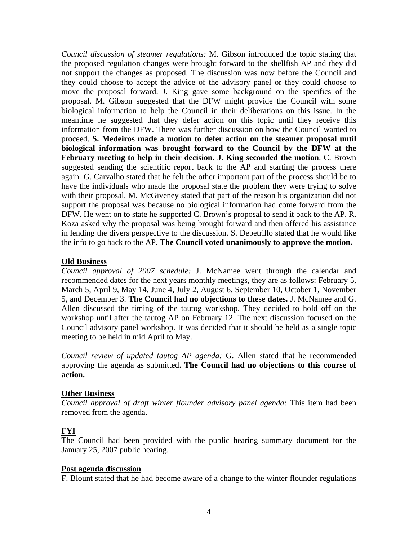*Council discussion of steamer regulations:* M. Gibson introduced the topic stating that the proposed regulation changes were brought forward to the shellfish AP and they did not support the changes as proposed. The discussion was now before the Council and they could choose to accept the advice of the advisory panel or they could choose to move the proposal forward. J. King gave some background on the specifics of the proposal. M. Gibson suggested that the DFW might provide the Council with some biological information to help the Council in their deliberations on this issue. In the meantime he suggested that they defer action on this topic until they receive this information from the DFW. There was further discussion on how the Council wanted to proceed. **S. Medeiros made a motion to defer action on the steamer proposal until biological information was brought forward to the Council by the DFW at the February meeting to help in their decision. J. King seconded the motion**. C. Brown suggested sending the scientific report back to the AP and starting the process there again. G. Carvalho stated that he felt the other important part of the process should be to have the individuals who made the proposal state the problem they were trying to solve with their proposal. M. McGiveney stated that part of the reason his organization did not support the proposal was because no biological information had come forward from the DFW. He went on to state he supported C. Brown's proposal to send it back to the AP. R. Koza asked why the proposal was being brought forward and then offered his assistance in lending the divers perspective to the discussion. S. Depetrillo stated that he would like the info to go back to the AP. **The Council voted unanimously to approve the motion.**

## **Old Business**

*Council approval of 2007 schedule:* J. McNamee went through the calendar and recommended dates for the next years monthly meetings, they are as follows: February 5, March 5, April 9, May 14, June 4, July 2, August 6, September 10, October 1, November 5, and December 3. **The Council had no objections to these dates.** J. McNamee and G. Allen discussed the timing of the tautog workshop. They decided to hold off on the workshop until after the tautog AP on February 12. The next discussion focused on the Council advisory panel workshop. It was decided that it should be held as a single topic meeting to be held in mid April to May.

*Council review of updated tautog AP agenda:* G. Allen stated that he recommended approving the agenda as submitted. **The Council had no objections to this course of action.**

#### **Other Business**

*Council approval of draft winter flounder advisory panel agenda:* This item had been removed from the agenda.

## **FYI**

The Council had been provided with the public hearing summary document for the January 25, 2007 public hearing.

#### **Post agenda discussion**

F. Blount stated that he had become aware of a change to the winter flounder regulations